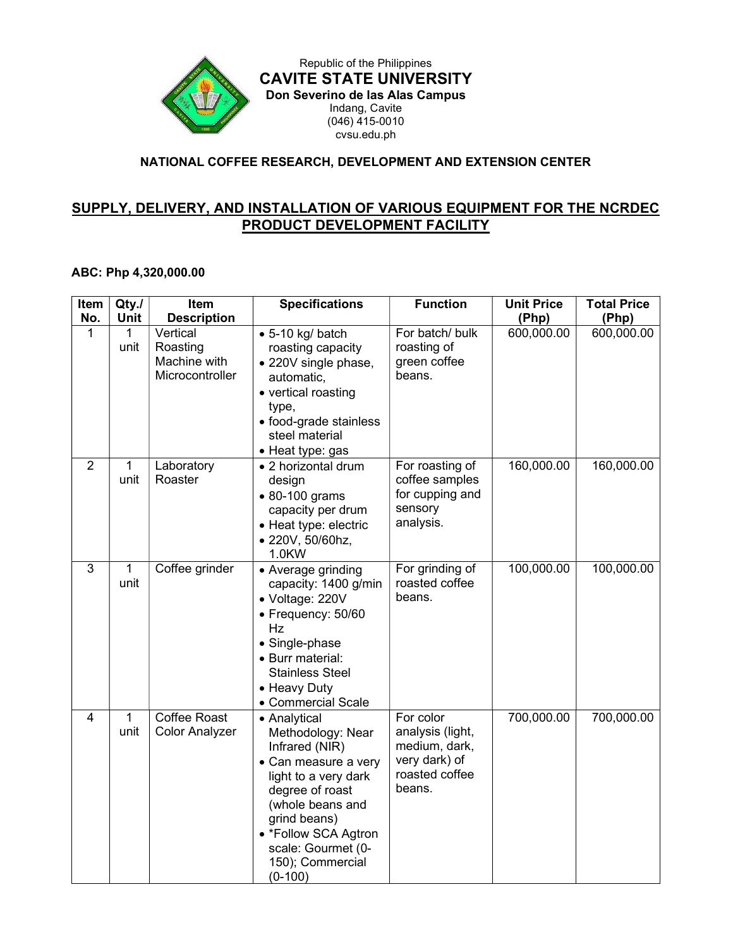

Republic of the Philippines CAVITE STATE UNIVERSITY Don Severino de las Alas Campus Indang, Cavite (046) 415-0010 cvsu.edu.ph

## NATIONAL COFFEE RESEARCH, DEVELOPMENT AND EXTENSION CENTER

## SUPPLY, DELIVERY, AND INSTALLATION OF VARIOUS EQUIPMENT FOR THE NCRDEC PRODUCT DEVELOPMENT FACILITY

## ABC: Php 4,320,000.00

| Item           | Qty.                 | <b>Item</b>                                             | <b>Specifications</b>                                                                                                                                                                                                                     | <b>Function</b>                                                                             | <b>Unit Price</b> | <b>Total Price</b> |
|----------------|----------------------|---------------------------------------------------------|-------------------------------------------------------------------------------------------------------------------------------------------------------------------------------------------------------------------------------------------|---------------------------------------------------------------------------------------------|-------------------|--------------------|
| No.            | <b>Unit</b>          | <b>Description</b>                                      |                                                                                                                                                                                                                                           |                                                                                             | (Php)             | (Php)              |
| 1              | 1<br>unit            | Vertical<br>Roasting<br>Machine with<br>Microcontroller | $\bullet$ 5-10 kg/ batch<br>roasting capacity<br>• 220V single phase,<br>automatic,<br>• vertical roasting<br>type,<br>• food-grade stainless<br>steel material<br>• Heat type: gas                                                       | For batch/ bulk<br>roasting of<br>green coffee<br>beans.                                    | 600,000.00        | 600,000.00         |
| $\overline{2}$ | 1<br>unit            | Laboratory<br>Roaster                                   | • 2 horizontal drum<br>design<br>• 80-100 grams<br>capacity per drum<br>• Heat type: electric<br>· 220V, 50/60hz,<br>1.0KW                                                                                                                | For roasting of<br>coffee samples<br>for cupping and<br>sensory<br>analysis.                | 160,000.00        | 160,000.00         |
| 3              | $\mathbf{1}$<br>unit | Coffee grinder                                          | • Average grinding<br>capacity: 1400 g/min<br>• Voltage: 220V<br>• Frequency: 50/60<br>Hz<br>• Single-phase<br>• Burr material:<br><b>Stainless Steel</b><br>• Heavy Duty<br>• Commercial Scale                                           | For grinding of<br>roasted coffee<br>beans.                                                 | 100,000.00        | 100,000.00         |
| $\overline{4}$ | $\mathbf{1}$<br>unit | Coffee Roast<br><b>Color Analyzer</b>                   | • Analytical<br>Methodology: Near<br>Infrared (NIR)<br>• Can measure a very<br>light to a very dark<br>degree of roast<br>(whole beans and<br>grind beans)<br>• *Follow SCA Agtron<br>scale: Gourmet (0-<br>150); Commercial<br>$(0-100)$ | For color<br>analysis (light,<br>medium, dark,<br>very dark) of<br>roasted coffee<br>beans. | 700,000.00        | 700,000.00         |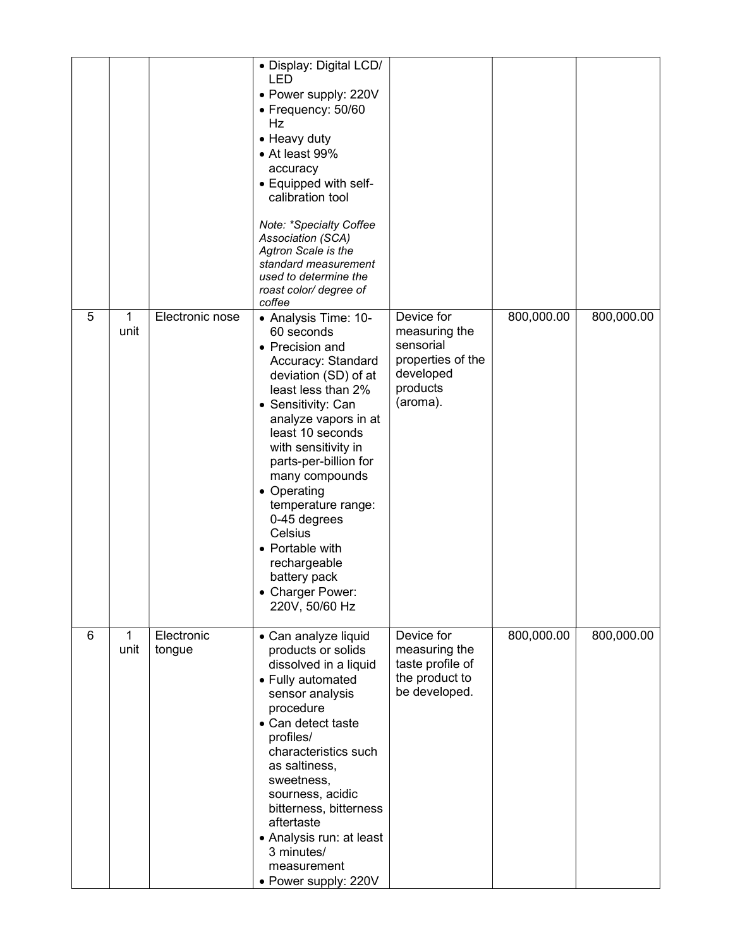|   |                      |                      | • Display: Digital LCD/<br>LED<br>• Power supply: 220V<br>• Frequency: 50/60<br>Hz<br>• Heavy duty<br>• At least 99%<br>accuracy<br>• Equipped with self-<br>calibration tool<br>Note: *Specialty Coffee<br>Association (SCA)<br>Agtron Scale is the<br>standard measurement<br>used to determine the<br>roast color/ degree of<br>coffee                                                                                   |                                                                                                    |            |            |
|---|----------------------|----------------------|-----------------------------------------------------------------------------------------------------------------------------------------------------------------------------------------------------------------------------------------------------------------------------------------------------------------------------------------------------------------------------------------------------------------------------|----------------------------------------------------------------------------------------------------|------------|------------|
| 5 | 1<br>unit            | Electronic nose      | • Analysis Time: 10-<br>60 seconds<br>• Precision and<br>Accuracy: Standard<br>deviation (SD) of at<br>least less than 2%<br>• Sensitivity: Can<br>analyze vapors in at<br>least 10 seconds<br>with sensitivity in<br>parts-per-billion for<br>many compounds<br>• Operating<br>temperature range:<br>0-45 degrees<br>Celsius<br>• Portable with<br>rechargeable<br>battery pack<br><b>Charger Power:</b><br>220V, 50/60 Hz | Device for<br>measuring the<br>sensorial<br>properties of the<br>developed<br>products<br>(aroma). | 800,000.00 | 800,000.00 |
| 6 | $\mathbf{1}$<br>unit | Electronic<br>tongue | • Can analyze liquid<br>products or solids<br>dissolved in a liquid<br>• Fully automated<br>sensor analysis<br>procedure<br>• Can detect taste<br>profiles/<br>characteristics such<br>as saltiness,<br>sweetness,<br>sourness, acidic<br>bitterness, bitterness<br>aftertaste<br>• Analysis run: at least<br>3 minutes/<br>measurement<br>• Power supply: 220V                                                             | Device for<br>measuring the<br>taste profile of<br>the product to<br>be developed.                 | 800,000.00 | 800,000.00 |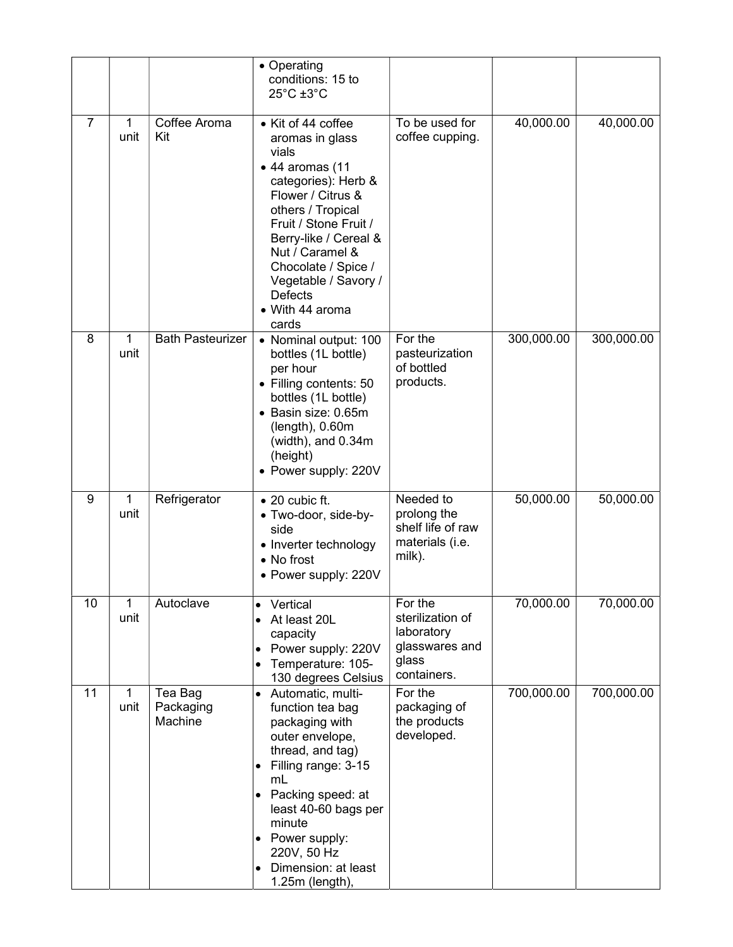|    |           |                                 | • Operating<br>conditions: 15 to<br>$25^{\circ}$ C $\pm 3^{\circ}$ C                                                                                                                                                                                                                                             |                                                                                     |            |            |
|----|-----------|---------------------------------|------------------------------------------------------------------------------------------------------------------------------------------------------------------------------------------------------------------------------------------------------------------------------------------------------------------|-------------------------------------------------------------------------------------|------------|------------|
| 7  | 1<br>unit | Coffee Aroma<br>Kit             | • Kit of 44 coffee<br>aromas in glass<br>vials<br>$\bullet$ 44 aromas (11<br>categories): Herb &<br>Flower / Citrus &<br>others / Tropical<br>Fruit / Stone Fruit /<br>Berry-like / Cereal &<br>Nut / Caramel &<br>Chocolate / Spice /<br>Vegetable / Savory /<br><b>Defects</b><br>• With 44 aroma<br>cards     | To be used for<br>coffee cupping.                                                   | 40,000.00  | 40,000.00  |
| 8  | 1<br>unit | <b>Bath Pasteurizer</b>         | • Nominal output: 100<br>bottles (1L bottle)<br>per hour<br>• Filling contents: 50<br>bottles (1L bottle)<br>• Basin size: 0.65m<br>(length), 0.60m)<br>(width), and 0.34m<br>(height)<br>• Power supply: 220V                                                                                                   | For the<br>pasteurization<br>of bottled<br>products.                                | 300,000.00 | 300,000.00 |
| 9  | 1<br>unit | Refrigerator                    | $\bullet$ 20 cubic ft.<br>· Two-door, side-by-<br>side<br>• Inverter technology<br>• No frost<br>• Power supply: 220V                                                                                                                                                                                            | Needed to<br>prolong the<br>shelf life of raw<br>materials (i.e.<br>milk).          | 50,000.00  | 50,000.00  |
| 10 | 1<br>unit | Autoclave                       | Vertical<br>$\bullet$<br>At least 20L<br>$\bullet$<br>capacity<br>Power supply: 220V<br>$\bullet$<br>Temperature: 105-<br>130 degrees Celsius                                                                                                                                                                    | For the<br>sterilization of<br>laboratory<br>glasswares and<br>glass<br>containers. | 70,000.00  | 70,000.00  |
| 11 | 1<br>unit | Tea Bag<br>Packaging<br>Machine | Automatic, multi-<br>$\bullet$<br>function tea bag<br>packaging with<br>outer envelope,<br>thread, and tag)<br>Filling range: 3-15<br>mL<br>Packing speed: at<br>$\bullet$<br>least 40-60 bags per<br>minute<br>Power supply:<br>$\bullet$<br>220V, 50 Hz<br>Dimension: at least<br>$\bullet$<br>1.25m (length), | For the<br>packaging of<br>the products<br>developed.                               | 700,000.00 | 700,000.00 |